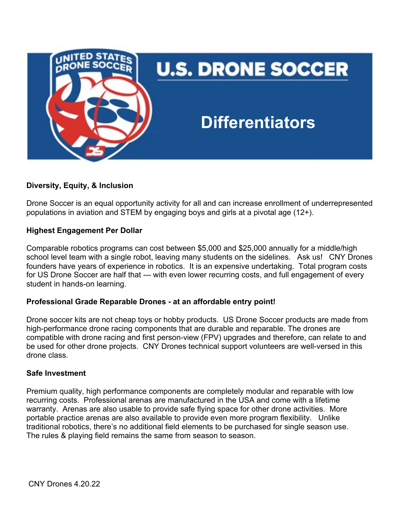

# **Diversity, Equity, & Inclusion**

Drone Soccer is an equal opportunity activity for all and can increase enrollment of underrepresented populations in aviation and STEM by engaging boys and girls at a pivotal age (12+).

## **Highest Engagement Per Dollar**

Comparable robotics programs can cost between \$5,000 and \$25,000 annually for a middle/high school level team with a single robot, leaving many students on the sidelines. Ask us! CNY Drones founders have years of experience in robotics. It is an expensive undertaking. Total program costs for US Drone Soccer are half that --- with even lower recurring costs, and full engagement of every student in hands-on learning.

## **Professional Grade Reparable Drones - at an affordable entry point!**

Drone soccer kits are not cheap toys or hobby products. US Drone Soccer products are made from high-performance drone racing components that are durable and reparable. The drones are compatible with drone racing and first person-view (FPV) upgrades and therefore, can relate to and be used for other drone projects. CNY Drones technical support volunteers are well-versed in this drone class.

## **Safe Investment**

Premium quality, high performance components are completely modular and reparable with low recurring costs. Professional arenas are manufactured in the USA and come with a lifetime warranty. Arenas are also usable to provide safe flying space for other drone activities. More portable practice arenas are also available to provide even more program flexibility. Unlike traditional robotics, there's no additional field elements to be purchased for single season use. The rules & playing field remains the same from season to season.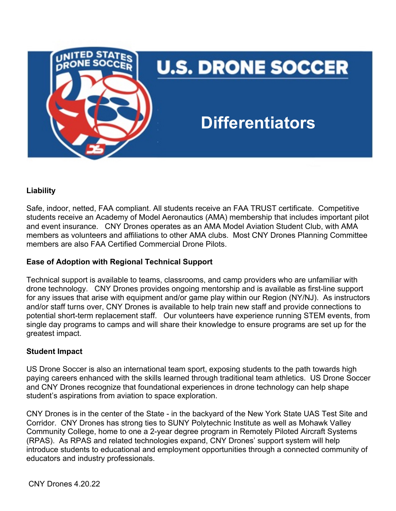

# **Liability**

Safe, indoor, netted, FAA compliant. All students receive an FAA TRUST certificate. Competitive students receive an Academy of Model Aeronautics (AMA) membership that includes important pilot and event insurance. CNY Drones operates as an AMA Model Aviation Student Club, with AMA members as volunteers and affiliations to other AMA clubs. Most CNY Drones Planning Committee members are also FAA Certified Commercial Drone Pilots.

# **Ease of Adoption with Regional Technical Support**

Technical support is available to teams, classrooms, and camp providers who are unfamiliar with drone technology. CNY Drones provides ongoing mentorship and is available as first-line support for any issues that arise with equipment and/or game play within our Region (NY/NJ). As instructors and/or staff turns over, CNY Drones is available to help train new staff and provide connections to potential short-term replacement staff. Our volunteers have experience running STEM events, from single day programs to camps and will share their knowledge to ensure programs are set up for the greatest impact.

# **Student Impact**

US Drone Soccer is also an international team sport, exposing students to the path towards high paying careers enhanced with the skills learned through traditional team athletics. US Drone Soccer and CNY Drones recognize that foundational experiences in drone technology can help shape student's aspirations from aviation to space exploration.

CNY Drones is in the center of the State - in the backyard of the New York State UAS Test Site and Corridor. CNY Drones has strong ties to SUNY Polytechnic Institute as well as Mohawk Valley Community College, home to one a 2-year degree program in Remotely Piloted Aircraft Systems (RPAS). As RPAS and related technologies expand, CNY Drones' support system will help introduce students to educational and employment opportunities through a connected community of educators and industry professionals.